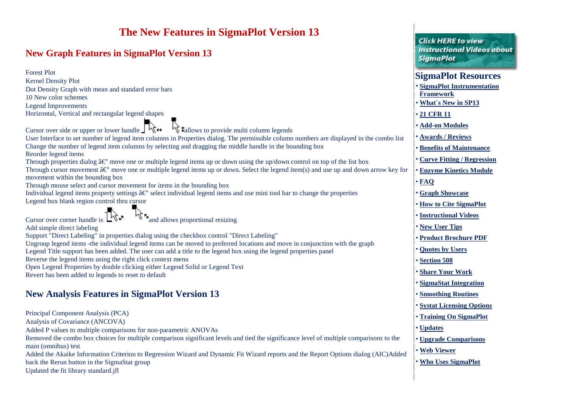| The New Features in SigmaPlot Version 13<br><b>New Graph Features in SigmaPlot Version 13</b>                                                                                                                                                                                                                                                        | <b>Click HERE to view</b><br><b>Instructional Videos about</b>                    |
|------------------------------------------------------------------------------------------------------------------------------------------------------------------------------------------------------------------------------------------------------------------------------------------------------------------------------------------------------|-----------------------------------------------------------------------------------|
| <b>Forest Plot</b><br><b>Kernel Density Plot</b>                                                                                                                                                                                                                                                                                                     | <b>SigmaPlot</b><br><b>SigmaPlot Resources</b>                                    |
| Dot Density Graph with mean and standard error bars<br>10 New color schemes<br><b>Legend Improvements</b>                                                                                                                                                                                                                                            | <b>SigmaPlot Instrumentation</b><br><b>Framework</b><br><b>What's New in SP13</b> |
| Horizontal, Vertical and rectangular legend shapes                                                                                                                                                                                                                                                                                                   | • 21 CFR 11<br><b>Add-on Modules</b>                                              |
| Cursor over side or upper or lower handle $\int \mathbf{h} \, \mathbf{H}$<br><b>W</b> ‡allows to provide multi column legends<br>User Interface to set number of legend item columns in Properties dialog. The permissible column numbers are displayed in the combo list                                                                            | <b>Awards / Reviews</b>                                                           |
| Change the number of legend item columns by selecting and dragging the middle handle in the bounding box<br>Reorder legend items                                                                                                                                                                                                                     | <b>Benefits of Maintenance</b><br><b>Curve Fitting / Regression</b>               |
| Through properties dialog $\hat{a} \in \mathcal{C}$ move one or multiple legend items up or down using the up/down control on top of the list box<br>Through cursor movement $\hat{a} \in \mathcal{C}$ move one or multiple legend items up or down. Select the legend item(s) and use up and down arrow key for<br>movement within the bounding box | <b>Enzyme Kinetics Module</b>                                                     |
| Through mouse select and cursor movement for items in the bounding box<br>Individual legend items property settings $\hat{a} \in \mathcal{C}$ select individual legend items and use mini tool bar to change the properties                                                                                                                          | $\cdot$ FAQ<br><b>Graph Showcase</b>                                              |
| Legend box blank region control thru cursor                                                                                                                                                                                                                                                                                                          | <b>How to Cite SigmaPlot</b>                                                      |
| and allows proportional resizing<br>Cursor over corner handle is<br>Add simple direct labeling                                                                                                                                                                                                                                                       | <b>Instructional Videos</b><br>New User Tips                                      |
| Support "Direct Labeling" in properties dialog using the checkbox control "Direct Labeling"<br>Ungroup legend items -the individual legend items can be moved to preferred locations and move in conjunction with the graph<br>Legend Title support has been added. The user can add a title to the legend box using the legend properties panel     | <b>Product Brochure PDF</b><br><b>Quotes by Users</b>                             |
| Reverse the legend items using the right click context menu<br>Open Legend Properties by double clicking either Legend Solid or Legend Text                                                                                                                                                                                                          | <b>Section 508</b>                                                                |
| Revert has been added to legends to reset to default                                                                                                                                                                                                                                                                                                 | <b>Share Your Work</b><br><b>SigmaStat Integration</b>                            |
| <b>New Analysis Features in SigmaPlot Version 13</b>                                                                                                                                                                                                                                                                                                 | <b>Smoothing Routines</b><br><b>Systat Licensing Options</b>                      |
| Principal Component Analysis (PCA)<br>Analysis of Covariance (ANCOVA)                                                                                                                                                                                                                                                                                | <b>Training On SigmaPlot</b>                                                      |
| Added P values to multiple comparisons for non-parametric ANOVAs<br>Removed the combo box choices for multiple comparison significant levels and tied the significance level of multiple comparisons to the                                                                                                                                          | <b>Updates</b><br><b>Upgrade Comparisons</b>                                      |
| main (omnibus) test<br>Added the Akaike Information Criterion to Regression Wizard and Dynamic Fit Wizard reports and the Report Options dialog (AIC)Added                                                                                                                                                                                           | • Web Viewer                                                                      |
| back the Rerun button in the SigmaStat group                                                                                                                                                                                                                                                                                                         | • Who Uses SigmaPlot                                                              |

÷

back the Rerun button in the SigmaStat group

Updated the fit library standard.jfl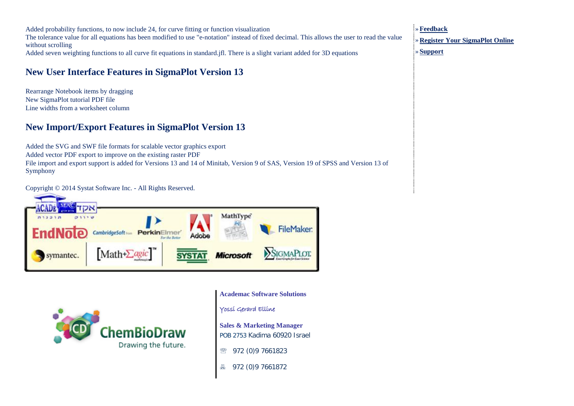Added probability functions, to now include 24, for curve fitting or function visualization The tolerance value for all equations has been modified to use "e-notation" instead of fixed decimal. This allows the user to read the value without scrolling Added seven weighting functions to all curve fit equations in standard.jfl. There is a slight variant added for 3D equations

## **New User Interface Features in SigmaPlot Version 13**

Rearrange Notebook items by dragging New SigmaPlot tutorial PDF file Line widths from a worksheet column

## **New Import/Export Features in SigmaPlot Version 13**

Added the SVG and SWF file formats for scalable vector graphics export Added vector PDF export to improve on the existing raster PDF File import and export support is added for Versions 13 and 14 of Minitab, Version 9 of SAS, Version 19 of SPSS and Version 13 of Symphony

Copyright © 2014 Systat Software Inc. - All Rights Reserved.





**Academac Software Solutions**

Yossi Gerard Elline

**Sales & Marketing Manager** POB 2753 Kadima 60920 Israel

● 972 (0)9 7661823

972 (0)9 7661872

»**[Feedback](http://www.sigmaplot.com/products/feedback.php)** » **[Register Your SigmaPlot Online](http://www.sigmaplot.com/products/register-prod.php)**

» **[Support](http://www.sigmaplot.com/support/index.php)**